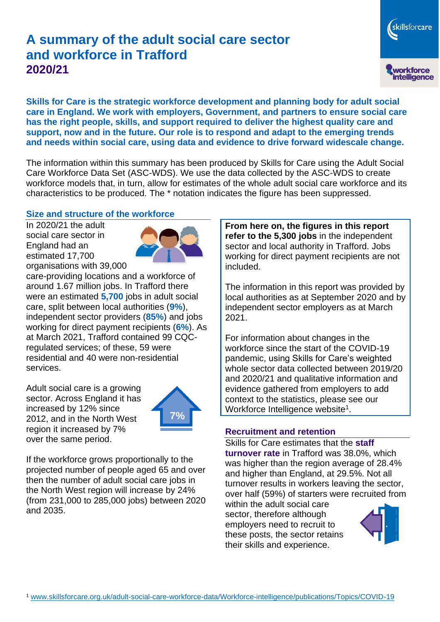# **A summary of the adult social care sector and workforce in Trafford 2020/21**

**Skills for Care is the strategic workforce development and planning body for adult social care in England. We work with employers, Government, and partners to ensure social care has the right people, skills, and support required to deliver the highest quality care and support, now and in the future. Our role is to respond and adapt to the emerging trends and needs within social care, using data and evidence to drive forward widescale change.**

The information within this summary has been produced by Skills for Care using the Adult Social Care Workforce Data Set (ASC-WDS). We use the data collected by the ASC-WDS to create workforce models that, in turn, allow for estimates of the whole adult social care workforce and its characteristics to be produced. The \* notation indicates the figure has been suppressed.

#### **Size and structure of the workforce**

In 2020/21 the adult social care sector in England had an estimated 17,700 organisations with 39,000



care-providing locations and a workforce of around 1.67 million jobs. In Trafford there were an estimated **5,700** jobs in adult social care, split between local authorities (**9%**), independent sector providers (**85%**) and jobs working for direct payment recipients (**6%**). As at March 2021, Trafford contained 99 CQCregulated services; of these, 59 were residential and 40 were non-residential services.

Adult social care is a growing sector. Across England it has increased by 12% since 2012, and in the North West region it increased by 7% over the same period.



If the workforce grows proportionally to the projected number of people aged 65 and over then the number of adult social care jobs in the North West region will increase by 24% (from 231,000 to 285,000 jobs) between 2020 and 2035.

**From here on, the figures in this report refer to the 5,300 jobs** in the independent sector and local authority in Trafford. Jobs working for direct payment recipients are not included.

The information in this report was provided by local authorities as at September 2020 and by independent sector employers as at March 2021.

For information about changes in the workforce since the start of the COVID-19 pandemic, using Skills for Care's weighted whole sector data collected between 2019/20 and 2020/21 and qualitative information and evidence gathered from employers to add context to the statistics, please see our Workforce Intelligence website<sup>1</sup>.

#### **Recruitment and retention**

Skills for Care estimates that the **staff turnover rate** in Trafford was 38.0%, which was higher than the region average of 28.4% and higher than England, at 29.5%. Not all turnover results in workers leaving the sector, over half (59%) of starters were recruited from

within the adult social care sector, therefore although employers need to recruit to these posts, the sector retains their skills and experience.



skillsforcare

workforce<br>intelligence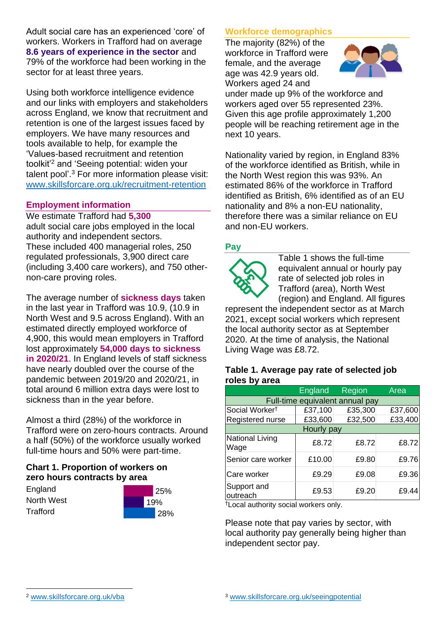Adult social care has an experienced 'core' of workers. Workers in Trafford had on average **8.6 years of experience in the sector** and 79% of the workforce had been working in the sector for at least three years.

Using both workforce intelligence evidence and our links with employers and stakeholders across England, we know that recruitment and retention is one of the largest issues faced by employers. We have many resources and tools available to help, for example the 'Values-based recruitment and retention toolkit'<sup>2</sup> and 'Seeing potential: widen your talent pool'. <sup>3</sup> For more information please visit: [www.skillsforcare.org.uk/recruitment-retention](http://www.skillsforcare.org.uk/recruitment-retention)

### **Employment information**

We estimate Trafford had **5,300** adult social care jobs employed in the local authority and independent sectors. These included 400 managerial roles, 250 regulated professionals, 3,900 direct care (including 3,400 care workers), and 750 othernon-care proving roles.

The average number of **sickness days** taken in the last year in Trafford was 10.9, (10.9 in North West and 9.5 across England). With an estimated directly employed workforce of 4,900, this would mean employers in Trafford lost approximately **54,000 days to sickness in 2020/21**. In England levels of staff sickness have nearly doubled over the course of the pandemic between 2019/20 and 2020/21, in total around 6 million extra days were lost to sickness than in the year before.

Almost a third (28%) of the workforce in Trafford were on zero-hours contracts. Around a half (50%) of the workforce usually worked full-time hours and 50% were part-time.

### **Chart 1. Proportion of workers on zero hours contracts by area**

**England** North West **Trafford** 



## **Workforce demographics**

The majority (82%) of the workforce in Trafford were female, and the average age was 42.9 years old. Workers aged 24 and



under made up 9% of the workforce and workers aged over 55 represented 23%. Given this age profile approximately 1,200 people will be reaching retirement age in the next 10 years.

Nationality varied by region, in England 83% of the workforce identified as British, while in the North West region this was 93%. An estimated 86% of the workforce in Trafford identified as British, 6% identified as of an EU nationality and 8% a non-EU nationality, therefore there was a similar reliance on EU and non-EU workers.

### **Pay**



Table 1 shows the full-time equivalent annual or hourly pay rate of selected job roles in Trafford (area), North West (region) and England. All figures

represent the independent sector as at March 2021, except social workers which represent the local authority sector as at September 2020. At the time of analysis, the National Living Wage was £8.72.

#### **Table 1. Average pay rate of selected job roles by area**

|                                 | <b>England</b> | <b>Region</b> | Area    |
|---------------------------------|----------------|---------------|---------|
| Full-time equivalent annual pay |                |               |         |
| Social Worker <sup>t</sup>      | £37,100        | £35,300       | £37,600 |
| Registered nurse                | £33,600        | £32,500       | £33,400 |
| Hourly pay                      |                |               |         |
| National Living<br>Wage         | £8.72          | £8.72         | £8.72   |
| Senior care worker              | £10.00         | £9.80         | £9.76   |
| Care worker                     | £9.29          | £9.08         | £9.36   |
| Support and<br>outreach         | £9.53          | £9.20         | £9.44   |

†Local authority social workers only.

Please note that pay varies by sector, with local authority pay generally being higher than independent sector pay.

[www.skillsforcare.org.uk/vba](http://www.skillsforcare.org.uk/vba)